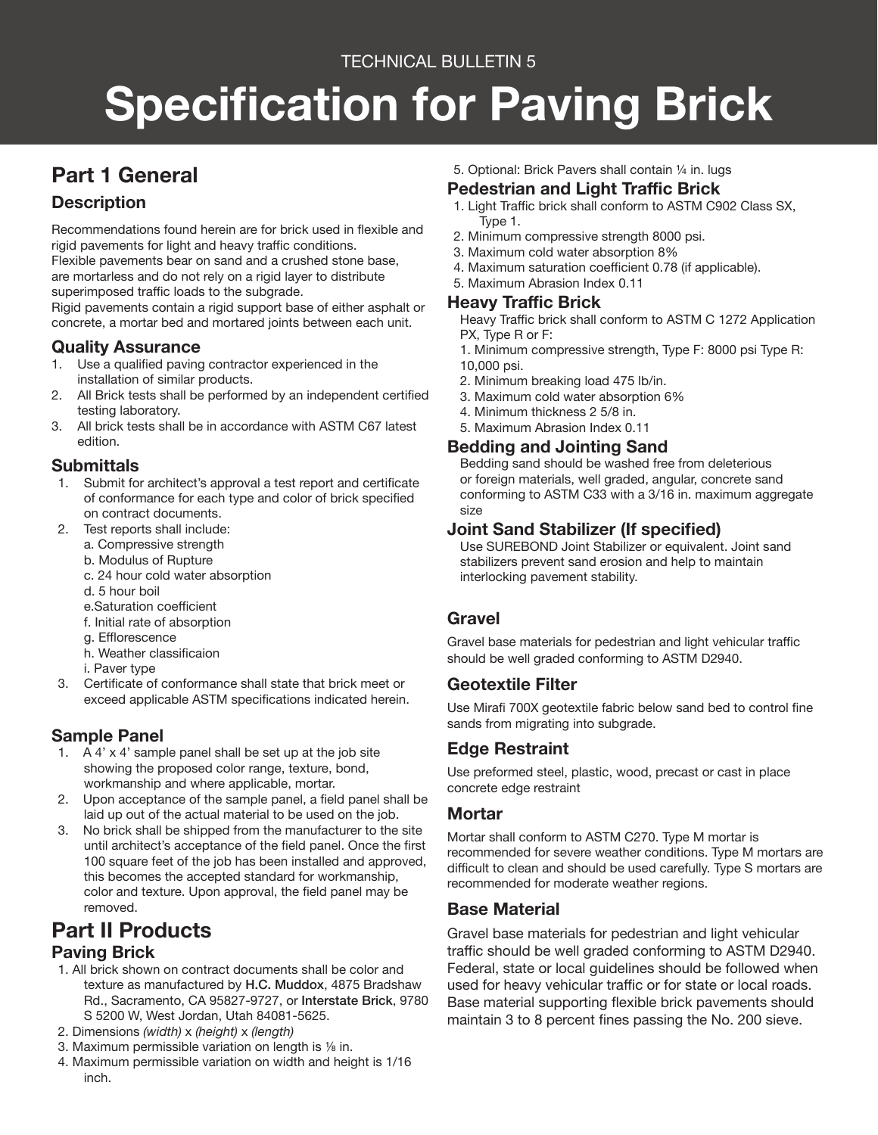### TECHNICAL BULLETIN 5

# **Specification for Paving Brick**

### **Part 1 General**

### **Description**

Recommendations found herein are for brick used in flexible and rigid pavements for light and heavy traffic conditions. Flexible pavements bear on sand and a crushed stone base, are mortarless and do not rely on a rigid layer to distribute

superimposed traffic loads to the subgrade.

Rigid pavements contain a rigid support base of either asphalt or concrete, a mortar bed and mortared joints between each unit.

### **Quality Assurance**<br>1. Use a qualified pavino

- Use a qualified paving contractor experienced in the installation of similar products.
- 2. All Brick tests shall be performed by an independent certified testing laboratory.
- 3. All brick tests shall be in accordance with ASTM C67 latest edition.

### **Submittals**

- 1. Submit for architect's approval a test report and certificate of conformance for each type and color of brick specified on contract documents.
- 2. Test reports shall include:
	- a. Compressive strength
	- b. Modulus of Rupture
	- c. 24 hour cold water absorption
	- d. 5 hour boil
	- e.Saturation coefficient
	- f. Initial rate of absorption
	- g. Efflorescence
	- h. Weather classificaion
	- i. Paver type
- 3. Certificate of conformance shall state that brick meet or exceed applicable ASTM specifications indicated herein.

### **Sample Panel**

- 1. A 4' x 4' sample panel shall be set up at the job site showing the proposed color range, texture, bond, workmanship and where applicable, mortar.
- 2. Upon acceptance of the sample panel, a field panel shall be laid up out of the actual material to be used on the job.
- 3. No brick shall be shipped from the manufacturer to the site until architect's acceptance of the field panel. Once the first 100 square feet of the job has been installed and approved, this becomes the accepted standard for workmanship, color and texture. Upon approval, the field panel may be removed.

### **Part II Products**

### **Paving Brick**

- 1. All brick shown on contract documents shall be color and texture as manufactured by H.C. Muddox, 4875 Bradshaw Rd., Sacramento, CA 95827-9727, or Interstate Brick, 9780 S 5200 W, West Jordan, Utah 84081-5625.
- 2. Dimensions *(width)* x *(height)* x *(length)*
- 3. Maximum permissible variation on length is ⅛ in.
- 4. Maximum permissible variation on width and height is 1/16 inch.

5. Optional: Brick Pavers shall contain ¼ in. lugs

### **Pedestrian and Light Traffic Brick**

- 1. Light Traffic brick shall conform to ASTM C902 Class SX, Type 1.
- 2. Minimum compressive strength 8000 psi.
- 3. Maximum cold water absorption 8%
- 4. Maximum saturation coefficient 0.78 (if applicable).
- 5. Maximum Abrasion Index 0.11

### **Heavy Traffic Brick**

Heavy Traffic brick shall conform to ASTM C 1272 Application PX, Type R or F:

1. Minimum compressive strength, Type F: 8000 psi Type R: 10,000 psi.

- 2. Minimum breaking load 475 lb/in.
- 3. Maximum cold water absorption 6%
- 4. Minimum thickness 2 5/8 in.
- 5. Maximum Abrasion Index 0.11

### **Bedding and Jointing Sand**

Bedding sand should be washed free from deleterious or foreign materials, well graded, angular, concrete sand conforming to ASTM C33 with a 3/16 in. maximum aggregate size

### **Joint Sand Stabilizer (If specified)**

Use SUREBOND Joint Stabilizer or equivalent. Joint sand stabilizers prevent sand erosion and help to maintain interlocking pavement stability.

### **Gravel**

Gravel base materials for pedestrian and light vehicular traffic should be well graded conforming to ASTM D2940.

### **Geotextile Filter**

Use Mirafi 700X geotextile fabric below sand bed to control fine sands from migrating into subgrade.

### **Edge Restraint**

Use preformed steel, plastic, wood, precast or cast in place concrete edge restraint

### **Mortar**

Mortar shall conform to ASTM C270. Type M mortar is recommended for severe weather conditions. Type M mortars are difficult to clean and should be used carefully. Type S mortars are recommended for moderate weather regions.

### **Base Material**

Gravel base materials for pedestrian and light vehicular traffic should be well graded conforming to ASTM D2940. Federal, state or local guidelines should be followed when used for heavy vehicular traffic or for state or local roads. Base material supporting flexible brick pavements should maintain 3 to 8 percent fines passing the No. 200 sieve.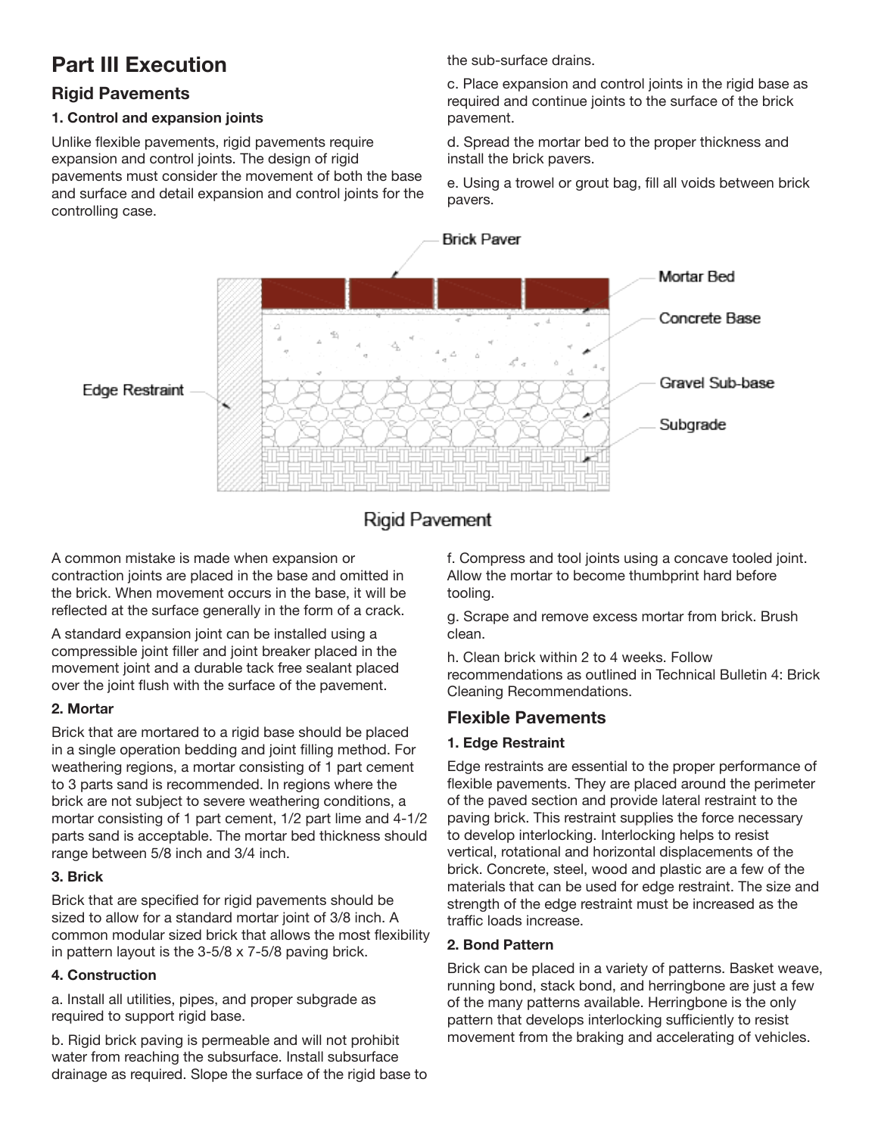### **Part III Execution**

### **Rigid Pavements**

### **1. Control and expansion joints**

Unlike flexible pavements, rigid pavements require expansion and control joints. The design of rigid pavements must consider the movement of both the base and surface and detail expansion and control joints for the controlling case.

the sub-surface drains.

c. Place expansion and control joints in the rigid base as required and continue joints to the surface of the brick pavement.

d. Spread the mortar bed to the proper thickness and install the brick pavers.

e. Using a trowel or grout bag, fill all voids between brick pavers.



### **Rigid Pavement**

A common mistake is made when expansion or contraction joints are placed in the base and omitted in the brick. When movement occurs in the base, it will be reflected at the surface generally in the form of a crack.

A standard expansion joint can be installed using a compressible joint filler and joint breaker placed in the movement joint and a durable tack free sealant placed over the joint flush with the surface of the pavement.

### **2. Mortar**

Brick that are mortared to a rigid base should be placed in a single operation bedding and joint filling method. For weathering regions, a mortar consisting of 1 part cement to 3 parts sand is recommended. In regions where the brick are not subject to severe weathering conditions, a mortar consisting of 1 part cement, 1/2 part lime and 4-1/2 parts sand is acceptable. The mortar bed thickness should range between 5/8 inch and 3/4 inch.

### **3. Brick**

Brick that are specified for rigid pavements should be sized to allow for a standard mortar joint of 3/8 inch. A common modular sized brick that allows the most flexibility in pattern layout is the 3-5/8 x 7-5/8 paving brick.

### **4. Construction**

a. Install all utilities, pipes, and proper subgrade as required to support rigid base.

b. Rigid brick paving is permeable and will not prohibit water from reaching the subsurface. Install subsurface drainage as required. Slope the surface of the rigid base to f. Compress and tool joints using a concave tooled joint. Allow the mortar to become thumbprint hard before tooling.

g. Scrape and remove excess mortar from brick. Brush clean.

h. Clean brick within 2 to 4 weeks. Follow recommendations as outlined in Technical Bulletin 4: Brick Cleaning Recommendations.

### **Flexible Pavements**

### **1. Edge Restraint**

Edge restraints are essential to the proper performance of flexible pavements. They are placed around the perimeter of the paved section and provide lateral restraint to the paving brick. This restraint supplies the force necessary to develop interlocking. Interlocking helps to resist vertical, rotational and horizontal displacements of the brick. Concrete, steel, wood and plastic are a few of the materials that can be used for edge restraint. The size and strength of the edge restraint must be increased as the traffic loads increase.

### **2. Bond Pattern**

Brick can be placed in a variety of patterns. Basket weave, running bond, stack bond, and herringbone are just a few of the many patterns available. Herringbone is the only pattern that develops interlocking sufficiently to resist movement from the braking and accelerating of vehicles.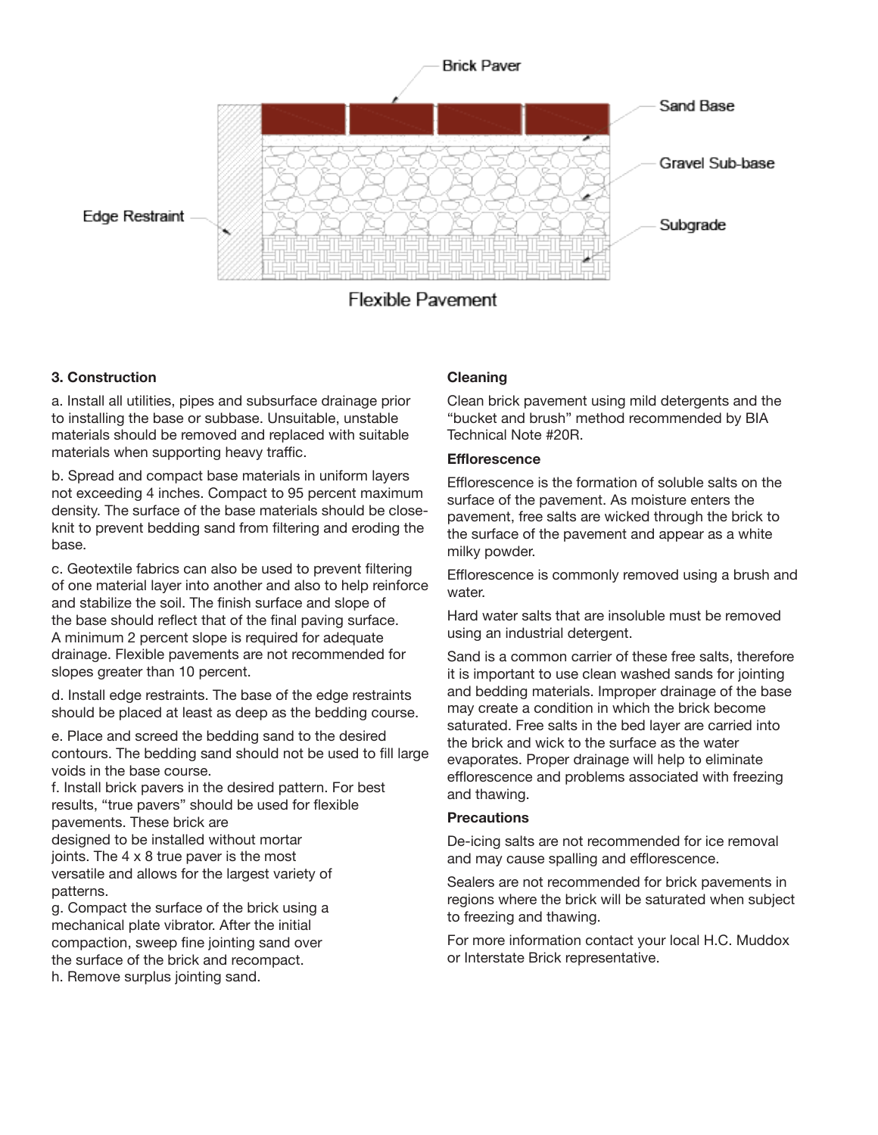

#### **3. Construction**

a. Install all utilities, pipes and subsurface drainage prior to installing the base or subbase. Unsuitable, unstable materials should be removed and replaced with suitable materials when supporting heavy traffic.

b. Spread and compact base materials in uniform layers not exceeding 4 inches. Compact to 95 percent maximum density. The surface of the base materials should be closeknit to prevent bedding sand from filtering and eroding the base.

c. Geotextile fabrics can also be used to prevent filtering of one material layer into another and also to help reinforce and stabilize the soil. The finish surface and slope of the base should reflect that of the final paving surface. A minimum 2 percent slope is required for adequate drainage. Flexible pavements are not recommended for slopes greater than 10 percent.

d. Install edge restraints. The base of the edge restraints should be placed at least as deep as the bedding course.

e. Place and screed the bedding sand to the desired contours. The bedding sand should not be used to fill large voids in the base course.

f. Install brick pavers in the desired pattern. For best results, "true pavers" should be used for flexible pavements. These brick are designed to be installed without mortar joints. The 4 x 8 true paver is the most versatile and allows for the largest variety of

patterns. g. Compact the surface of the brick using a mechanical plate vibrator. After the initial compaction, sweep fine jointing sand over the surface of the brick and recompact.

### h. Remove surplus jointing sand.

#### **Cleaning**

Clean brick pavement using mild detergents and the "bucket and brush" method recommended by BIA Technical Note #20R.

#### **Efflorescence**

Efflorescence is the formation of soluble salts on the surface of the pavement. As moisture enters the pavement, free salts are wicked through the brick to the surface of the pavement and appear as a white milky powder.

Efflorescence is commonly removed using a brush and water.

Hard water salts that are insoluble must be removed using an industrial detergent.

Sand is a common carrier of these free salts, therefore it is important to use clean washed sands for jointing and bedding materials. Improper drainage of the base may create a condition in which the brick become saturated. Free salts in the bed layer are carried into the brick and wick to the surface as the water evaporates. Proper drainage will help to eliminate efflorescence and problems associated with freezing and thawing.

#### **Precautions**

De-icing salts are not recommended for ice removal and may cause spalling and efflorescence.

Sealers are not recommended for brick pavements in regions where the brick will be saturated when subject to freezing and thawing.

For more information contact your local H.C. Muddox or Interstate Brick representative.